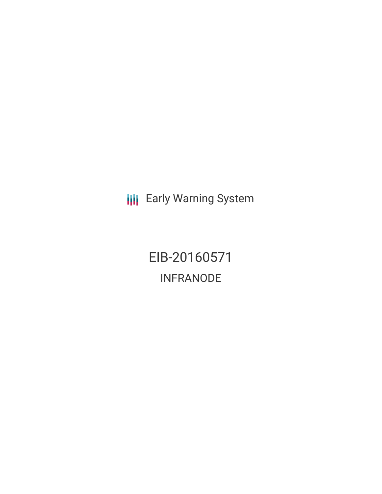**III** Early Warning System

EIB-20160571 INFRANODE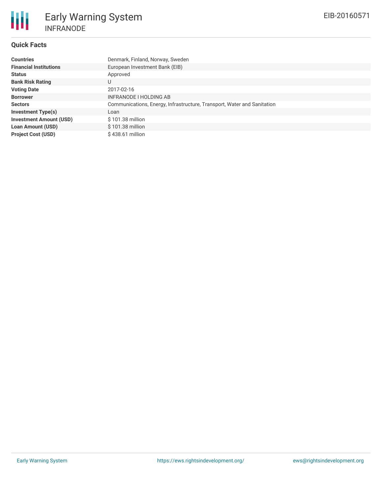# **Quick Facts**

| <b>Countries</b>               | Denmark, Finland, Norway, Sweden                                        |
|--------------------------------|-------------------------------------------------------------------------|
| <b>Financial Institutions</b>  | European Investment Bank (EIB)                                          |
| <b>Status</b>                  | Approved                                                                |
| <b>Bank Risk Rating</b>        | U                                                                       |
| <b>Voting Date</b>             | 2017-02-16                                                              |
| <b>Borrower</b>                | INFRANODE I HOLDING AB                                                  |
| <b>Sectors</b>                 | Communications, Energy, Infrastructure, Transport, Water and Sanitation |
| <b>Investment Type(s)</b>      | Loan                                                                    |
| <b>Investment Amount (USD)</b> | $$101.38$ million                                                       |
| <b>Loan Amount (USD)</b>       | \$101.38 million                                                        |
| <b>Project Cost (USD)</b>      | $$438.61$ million                                                       |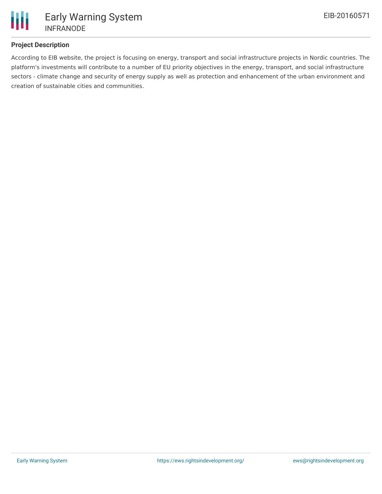

## **Project Description**

According to EIB website, the project is focusing on energy, transport and social infrastructure projects in Nordic countries. The platform's investments will contribute to a number of EU priority objectives in the energy, transport, and social infrastructure sectors - climate change and security of energy supply as well as protection and enhancement of the urban environment and creation of sustainable cities and communities.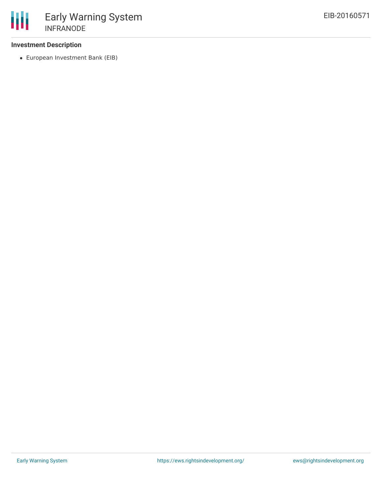### **Investment Description**

European Investment Bank (EIB)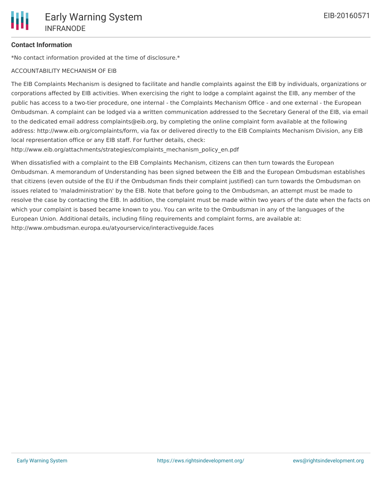## **Contact Information**

\*No contact information provided at the time of disclosure.\*

#### ACCOUNTABILITY MECHANISM OF EIB

The EIB Complaints Mechanism is designed to facilitate and handle complaints against the EIB by individuals, organizations or corporations affected by EIB activities. When exercising the right to lodge a complaint against the EIB, any member of the public has access to a two-tier procedure, one internal - the Complaints Mechanism Office - and one external - the European Ombudsman. A complaint can be lodged via a written communication addressed to the Secretary General of the EIB, via email to the dedicated email address complaints@eib.org, by completing the online complaint form available at the following address: http://www.eib.org/complaints/form, via fax or delivered directly to the EIB Complaints Mechanism Division, any EIB local representation office or any EIB staff. For further details, check:

http://www.eib.org/attachments/strategies/complaints\_mechanism\_policy\_en.pdf

When dissatisfied with a complaint to the EIB Complaints Mechanism, citizens can then turn towards the European Ombudsman. A memorandum of Understanding has been signed between the EIB and the European Ombudsman establishes that citizens (even outside of the EU if the Ombudsman finds their complaint justified) can turn towards the Ombudsman on issues related to 'maladministration' by the EIB. Note that before going to the Ombudsman, an attempt must be made to resolve the case by contacting the EIB. In addition, the complaint must be made within two years of the date when the facts on which your complaint is based became known to you. You can write to the Ombudsman in any of the languages of the European Union. Additional details, including filing requirements and complaint forms, are available at: http://www.ombudsman.europa.eu/atyourservice/interactiveguide.faces